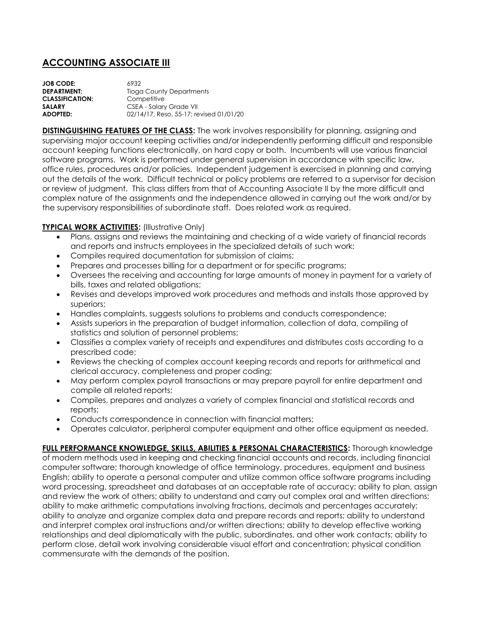## **ACCOUNTING ASSOCIATE III**

| 6932                                    |
|-----------------------------------------|
| <b>Tioga County Departments</b>         |
| Competitive                             |
| CSEA - Salary Grade VII                 |
| 02/14/17, Reso, 55-17; revised 01/01/20 |
|                                         |

**DISTINGUISHING FEATURES OF THE CLASS:** The work involves responsibility for planning, assigning and supervising major account keeping activities and/or independently performing difficult and responsible account keeping functions electronically, on hard copy or both. Incumbents will use various financial software programs. Work is performed under general supervision in accordance with specific law, office rules, procedures and/or policies. Independent judgement is exercised in planning and carrying out the details of the work. Difficult technical or policy problems are referred to a supervisor for decision or review of judgment. This class differs from that of Accounting Associate II by the more difficult and complex nature of the assignments and the independence allowed in carrying out the work and/or by the supervisory responsibilities of subordinate staff. Does related work as required.

## **TYPICAL WORK ACTIVITIES:** (Illustrative Only)

- Plans, assigns and reviews the maintaining and checking of a wide variety of financial records and reports and instructs employees in the specialized details of such work;
- Compiles required documentation for submission of claims;
- Prepares and processes billing for a department or for specific programs;
- Oversees the receiving and accounting for large amounts of money in payment for a variety of bills, taxes and related obligations;
- Revises and develops improved work procedures and methods and installs those approved by superiors;
- Handles complaints, suggests solutions to problems and conducts correspondence;
- Assists superiors in the preparation of budget information, collection of data, compiling of statistics and solution of personnel problems;
- Classifies a complex variety of receipts and expenditures and distributes costs according to a prescribed code;
- Reviews the checking of complex account keeping records and reports for arithmetical and clerical accuracy, completeness and proper coding;
- May perform complex payroll transactions or may prepare payroll for entire department and compile all related reports;
- Compiles, prepares and analyzes a variety of complex financial and statistical records and reports;
- Conducts correspondence in connection with financial matters;
- Operates calculator, peripheral computer equipment and other office equipment as needed.

**FULL PERFORMANCE KNOWLEDGE, SKILLS, ABILITIES & PERSONAL CHARACTERISTICS:** Thorough knowledge of modern methods used in keeping and checking financial accounts and records, including financial computer software; thorough knowledge of office terminology, procedures, equipment and business English; ability to operate a personal computer and utilize common office software programs including word processing, spreadsheet and databases at an acceptable rate of accuracy; ability to plan, assign and review the work of others; ability to understand and carry out complex oral and written directions; ability to make arithmetic computations involving fractions, decimals and percentages accurately; ability to analyze and organize complex data and prepare records and reports; ability to understand and interpret complex oral instructions and/or written directions; ability to develop effective working relationships and deal diplomatically with the public, subordinates, and other work contacts; ability to perform close, detail work involving considerable visual effort and concentration; physical condition commensurate with the demands of the position.